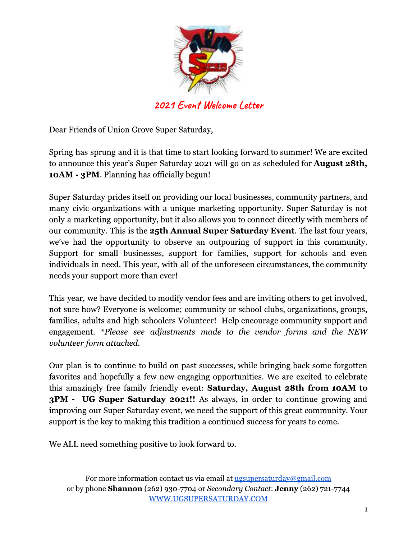

2021 Event Welcome Letter

Dear Friends of Union Grove Super Saturday,

Spring has sprung and it is that time to start looking forward to summer! We are excited to announce this year's Super Saturday 2021 will go on as scheduled for **August 28th**, **10AM - 3PM.** Planning has officially begun!

Super Saturday prides itself on providing our local businesses, community partners, and many civic organizations with a unique marketing opportunity. Super Saturday is not only a marketing opportunity, but it also allows you to connect directly with members of our community. This is the 25th Annual Super Saturday Event. The last four years, we've had the opportunity to observe an outpouring of support in this community. Support for small businesses, support for families, support for schools and even individuals in need. This year, with all of the unforeseen circumstances, the community needs your support more than ever!

This year, we have decided to modify vendor fees and are inviting others to get involved, not sure how? Everyone is welcome; community or school clubs, organizations, groups, families, adults and high schoolers Volunteer! Help encourage community support and engagement. \*Please see adjustments made to the vendor forms and the NEW volunteer form attached.

Our plan is to continue to build on past successes, while bringing back some forgotten favorites and hopefully a few new engaging opportunities. We are excited to celebrate this amazingly free family friendly event: Saturday, August 28th from 10AM to **3PM - UG Super Saturday 2021!!** As always, in order to continue growing and improving our Super Saturday event, we need the support of this great community. Your support is the key to making this tradition a continued success for years to come.

We ALL need something positive to look forward to.